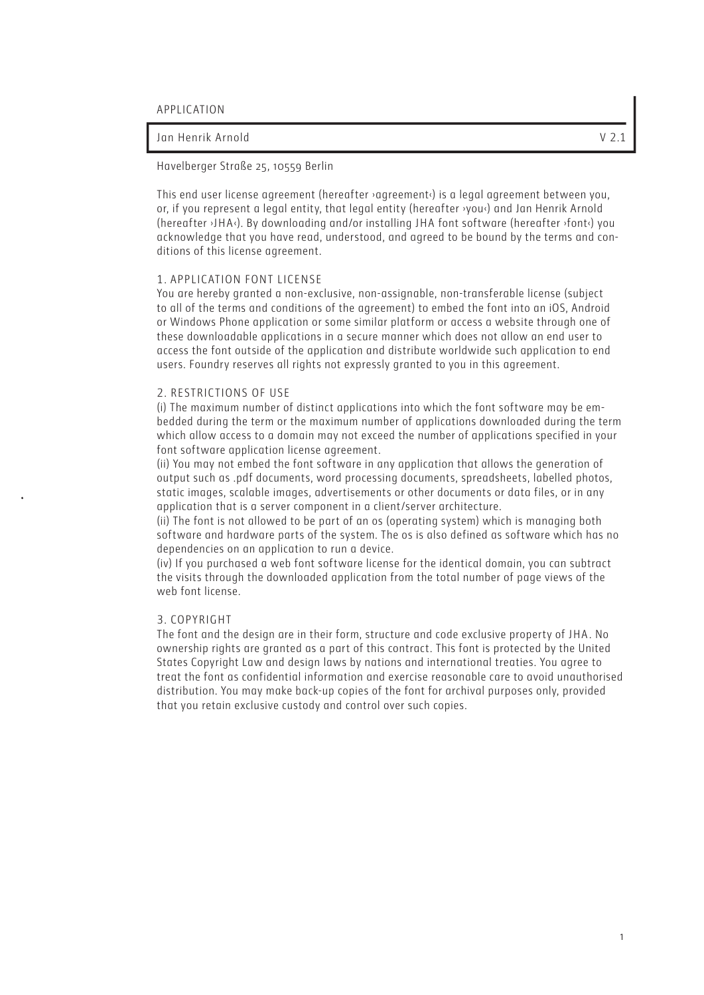# Jan Henrik Arnold V 2.1

## Havelberger Straße 25, 10559 Berlin

This end user license agreement (hereafter ›agreement‹) is a legal agreement between you, or, if you represent a legal entity, that legal entity (hereafter  $you$ <sup>)</sup> and Jan Henrik Arnold (hereafter ›JHA‹). By downloading and/or installing JHA font software (hereafter ›font‹) you acknowledge that you have read, understood, and agreed to be bound by the terms and conditions of this license agreement.

#### 1. APPLICATION FONT LICENSE

You are hereby granted a non-exclusive, non-assignable, non-transferable license (subject to all of the terms and conditions of the agreement) to embed the font into an iOS, Android or Windows Phone application or some similar platform or access a website through one of these downloadable applications in a secure manner which does not allow an end user to access the font outside of the application and distribute worldwide such application to end users. Foundry reserves all rights not expressly granted to you in this agreement.

#### 2. RESTRICTIONS OF USE

(i) The maximum number of distinct applications into which the font software may be embedded during the term or the maximum number of applications downloaded during the term which allow access to a domain may not exceed the number of applications specified in your font software application license agreement.

(ii) You may not embed the font software in any application that allows the generation of output such as .pdf documents, word processing documents, spreadsheets, labelled photos, static images, scalable images, advertisements or other documents or data files, or in any application that is a server component in a client/server architecture.

(ii) The font is not allowed to be part of an os (operating system) which is managing both software and hardware parts of the system. The os is also defined as software which has no dependencies on an application to run a device.

(iv) If you purchased a web font software license for the identical domain, you can subtract the visits through the downloaded application from the total number of page views of the web font license

#### 3. COPYRIGHT

The font and the design are in their form, structure and code exclusive property of JHA . No ownership rights are granted as a part of this contract. This font is protected by the United States Copyright Law and design laws by nations and international treaties. You agree to treat the font as confidential information and exercise reasonable care to avoid unauthorised distribution. You may make back-up copies of the font for archival purposes only, provided that you retain exclusive custody and control over such copies.